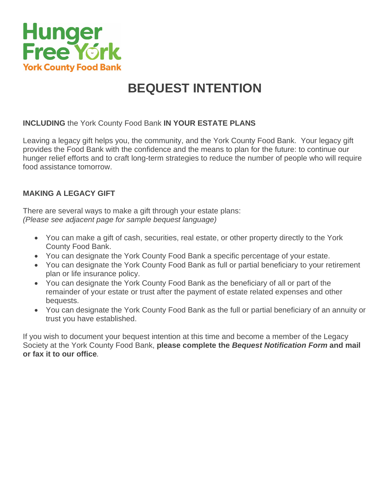

# **BEQUEST INTENTION**

## **INCLUDING** the York County Food Bank **IN YOUR ESTATE PLANS**

Leaving a legacy gift helps you, the community, and the York County Food Bank. Your legacy gift provides the Food Bank with the confidence and the means to plan for the future: to continue our hunger relief efforts and to craft long-term strategies to reduce the number of people who will require food assistance tomorrow.

## **MAKING A LEGACY GIFT**

There are several ways to make a gift through your estate plans: *(Please see adjacent page for sample bequest language)*

- You can make a gift of cash, securities, real estate, or other property directly to the York County Food Bank.
- You can designate the York County Food Bank a specific percentage of your estate.
- You can designate the York County Food Bank as full or partial beneficiary to your retirement plan or life insurance policy.
- You can designate the York County Food Bank as the beneficiary of all or part of the remainder of your estate or trust after the payment of estate related expenses and other bequests.
- You can designate the York County Food Bank as the full or partial beneficiary of an annuity or trust you have established.

If you wish to document your bequest intention at this time and become a member of the Legacy Society at the York County Food Bank, **please complete the** *Bequest Notification Form* **and mail or fax it to our office***.*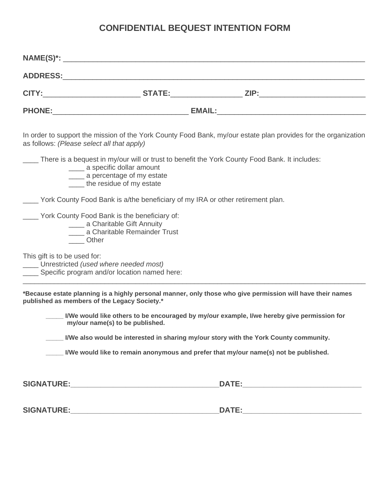# **CONFIDENTIAL BEQUEST INTENTION FORM**

| as follows: (Please select all that apply)                                                                                     | In order to support the mission of the York County Food Bank, my/our estate plan provides for the organization |
|--------------------------------------------------------------------------------------------------------------------------------|----------------------------------------------------------------------------------------------------------------|
| _____ a specific dollar amount<br>____ a percentage of my estate<br>____ the residue of my estate                              | There is a bequest in my/our will or trust to benefit the York County Food Bank. It includes:                  |
| York County Food Bank is a/the beneficiary of my IRA or other retirement plan.                                                 |                                                                                                                |
| York County Food Bank is the beneficiary of:<br>_____ a Charitable Gift Annuity<br>_____ a Charitable Remainder Trust<br>Other |                                                                                                                |
| This gift is to be used for:<br>Unrestricted (used where needed most)<br>Specific program and/or location named here:          |                                                                                                                |

**\*Because estate planning is a highly personal manner, only those who give permission will have their names published as members of the Legacy Society.\***

**\_\_\_\_\_ I/We would like others to be encouraged by my/our example, I/we hereby give permission for my/our name(s) to be published.**

\_\_\_\_\_\_\_\_\_\_\_\_\_\_\_\_\_\_\_\_\_\_\_\_\_\_\_\_\_\_\_\_\_\_\_\_\_\_\_\_\_\_\_\_\_\_\_\_\_\_\_\_\_\_\_\_\_\_\_\_\_\_\_\_\_\_\_\_\_\_\_\_\_\_\_\_\_\_\_\_\_\_\_\_\_\_\_\_

**\_\_\_\_\_ I/We also would be interested in sharing my/our story with the York County community.**

**\_\_\_\_\_ I/We would like to remain anonymous and prefer that my/our name(s) not be published.**

**SIGNATURE:\_\_\_\_\_\_\_\_\_\_\_\_\_\_\_\_\_\_\_\_\_\_\_\_\_\_\_\_\_\_\_\_\_\_\_DATE:\_\_\_\_\_\_\_\_\_\_\_\_\_\_\_\_\_\_\_\_\_\_\_\_\_\_\_\_**

| <b>SIGNATURE:</b><br>- - - -<br>$\mathbf{A}$ |  |
|----------------------------------------------|--|
|----------------------------------------------|--|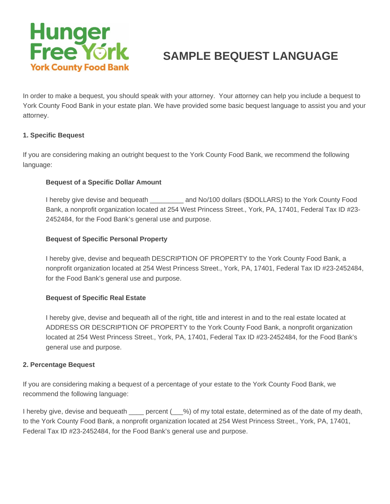

# **SAMPLE BEQUEST LANGUAGE**

In order to make a bequest, you should speak with your attorney. Your attorney can help you include a bequest to York County Food Bank in your estate plan. We have provided some basic bequest language to assist you and your attorney.

#### **1. Specific Bequest**

If you are considering making an outright bequest to the York County Food Bank, we recommend the following language:

#### **Bequest of a Specific Dollar Amount**

I hereby give devise and bequeath \_\_\_\_\_\_\_\_\_ and No/100 dollars (\$DOLLARS) to the York County Food Bank, a nonprofit organization located at 254 West Princess Street., York, PA, 17401, Federal Tax ID #23- 2452484, for the Food Bank's general use and purpose.

#### **Bequest of Specific Personal Property**

I hereby give, devise and bequeath DESCRIPTION OF PROPERTY to the York County Food Bank, a nonprofit organization located at 254 West Princess Street., York, PA, 17401, Federal Tax ID #23-2452484, for the Food Bank's general use and purpose.

#### **Bequest of Specific Real Estate**

I hereby give, devise and bequeath all of the right, title and interest in and to the real estate located at ADDRESS OR DESCRIPTION OF PROPERTY to the York County Food Bank, a nonprofit organization located at 254 West Princess Street., York, PA, 17401, Federal Tax ID #23-2452484, for the Food Bank's general use and purpose.

#### **2. Percentage Bequest**

If you are considering making a bequest of a percentage of your estate to the York County Food Bank, we recommend the following language:

I hereby give, devise and bequeath percent ( $\%$ ) of my total estate, determined as of the date of my death, to the York County Food Bank, a nonprofit organization located at 254 West Princess Street., York, PA, 17401, Federal Tax ID #23-2452484, for the Food Bank's general use and purpose.